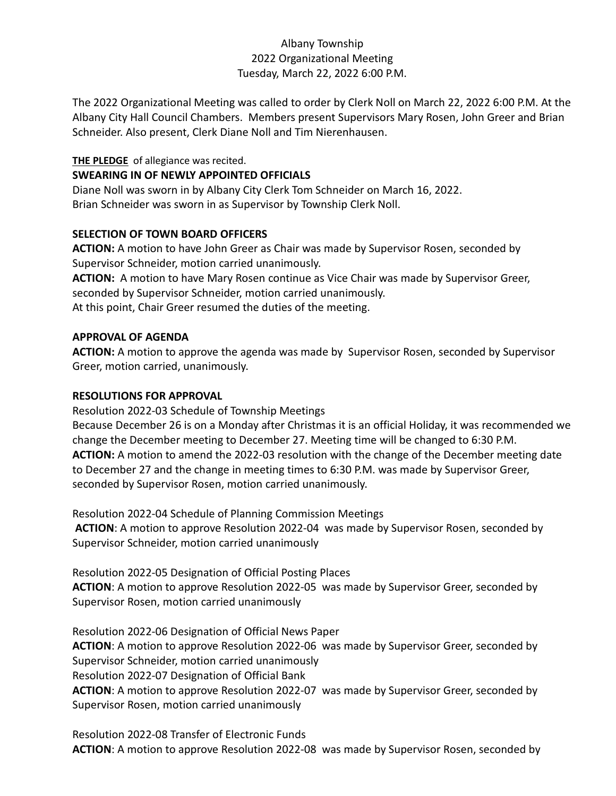# Albany Township 2022 Organizational Meeting Tuesday, March 22, 2022 6:00 P.M.

The 2022 Organizational Meeting was called to order by Clerk Noll on March 22, 2022 6:00 P.M. At the Albany City Hall Council Chambers. Members present Supervisors Mary Rosen, John Greer and Brian Schneider. Also present, Clerk Diane Noll and Tim Nierenhausen.

**THE PLEDGE** of allegiance was recited.

# **SWEARING IN OF NEWLY APPOINTED OFFICIALS**

Diane Noll was sworn in by Albany City Clerk Tom Schneider on March 16, 2022. Brian Schneider was sworn in as Supervisor by Township Clerk Noll.

## **SELECTION OF TOWN BOARD OFFICERS**

**ACTION:** A motion to have John Greer as Chair was made by Supervisor Rosen, seconded by Supervisor Schneider, motion carried unanimously.

**ACTION:** A motion to have Mary Rosen continue as Vice Chair was made by Supervisor Greer, seconded by Supervisor Schneider, motion carried unanimously.

At this point, Chair Greer resumed the duties of the meeting.

## **APPROVAL OF AGENDA**

**ACTION:** A motion to approve the agenda was made by Supervisor Rosen, seconded by Supervisor Greer, motion carried, unanimously.

## **RESOLUTIONS FOR APPROVAL**

Resolution 2022-03 Schedule of Township Meetings

Because December 26 is on a Monday after Christmas it is an official Holiday, it was recommended we change the December meeting to December 27. Meeting time will be changed to 6:30 P.M. **ACTION:** A motion to amend the 2022-03 resolution with the change of the December meeting date to December 27 and the change in meeting times to 6:30 P.M. was made by Supervisor Greer, seconded by Supervisor Rosen, motion carried unanimously.

Resolution 2022-04 Schedule of Planning Commission Meetings **ACTION**: A motion to approve Resolution 2022-04 was made by Supervisor Rosen, seconded by Supervisor Schneider, motion carried unanimously

Resolution 2022-05 Designation of Official Posting Places **ACTION**: A motion to approve Resolution 2022-05 was made by Supervisor Greer, seconded by Supervisor Rosen, motion carried unanimously

Resolution 2022-06 Designation of Official News Paper **ACTION**: A motion to approve Resolution 2022-06 was made by Supervisor Greer, seconded by Supervisor Schneider, motion carried unanimously Resolution 2022-07 Designation of Official Bank **ACTION**: A motion to approve Resolution 2022-07 was made by Supervisor Greer, seconded by Supervisor Rosen, motion carried unanimously

Resolution 2022-08 Transfer of Electronic Funds **ACTION**: A motion to approve Resolution 2022-08 was made by Supervisor Rosen, seconded by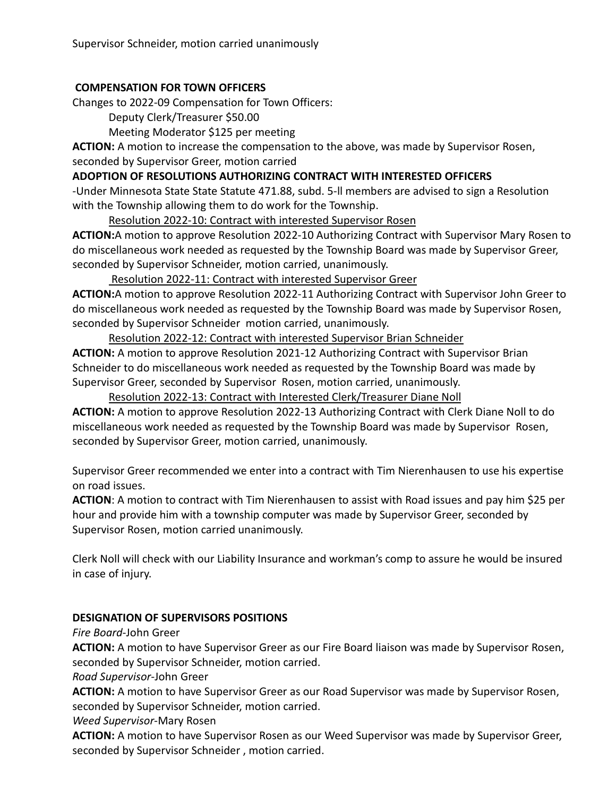# **COMPENSATION FOR TOWN OFFICERS**

Changes to 2022-09 Compensation for Town Officers:

Deputy Clerk/Treasurer \$50.00

Meeting Moderator \$125 per meeting

**ACTION:** A motion to increase the compensation to the above, was made by Supervisor Rosen, seconded by Supervisor Greer, motion carried

**ADOPTION OF RESOLUTIONS AUTHORIZING CONTRACT WITH INTERESTED OFFICERS**

-Under Minnesota State State Statute 471.88, subd. 5-ll members are advised to sign a Resolution with the Township allowing them to do work for the Township.

Resolution 2022-10: Contract with interested Supervisor Rosen

**ACTION:**A motion to approve Resolution 2022-10 Authorizing Contract with Supervisor Mary Rosen to do miscellaneous work needed as requested by the Township Board was made by Supervisor Greer, seconded by Supervisor Schneider, motion carried, unanimously.

Resolution 2022-11: Contract with interested Supervisor Greer

**ACTION:**A motion to approve Resolution 2022-11 Authorizing Contract with Supervisor John Greer to do miscellaneous work needed as requested by the Township Board was made by Supervisor Rosen, seconded by Supervisor Schneider motion carried, unanimously.

Resolution 2022-12: Contract with interested Supervisor Brian Schneider

**ACTION:** A motion to approve Resolution 2021-12 Authorizing Contract with Supervisor Brian Schneider to do miscellaneous work needed as requested by the Township Board was made by Supervisor Greer, seconded by Supervisor Rosen, motion carried, unanimously.

Resolution 2022-13: Contract with Interested Clerk/Treasurer Diane Noll

**ACTION:** A motion to approve Resolution 2022-13 Authorizing Contract with Clerk Diane Noll to do miscellaneous work needed as requested by the Township Board was made by Supervisor Rosen, seconded by Supervisor Greer, motion carried, unanimously.

Supervisor Greer recommended we enter into a contract with Tim Nierenhausen to use his expertise on road issues.

**ACTION**: A motion to contract with Tim Nierenhausen to assist with Road issues and pay him \$25 per hour and provide him with a township computer was made by Supervisor Greer, seconded by Supervisor Rosen, motion carried unanimously.

Clerk Noll will check with our Liability Insurance and workman's comp to assure he would be insured in case of injury.

# **DESIGNATION OF SUPERVISORS POSITIONS**

*Fire Board*-John Greer

**ACTION:** A motion to have Supervisor Greer as our Fire Board liaison was made by Supervisor Rosen, seconded by Supervisor Schneider, motion carried.

*Road Supervisor*-John Greer

**ACTION:** A motion to have Supervisor Greer as our Road Supervisor was made by Supervisor Rosen, seconded by Supervisor Schneider, motion carried.

*Weed Supervisor*-Mary Rosen

**ACTION:** A motion to have Supervisor Rosen as our Weed Supervisor was made by Supervisor Greer, seconded by Supervisor Schneider , motion carried.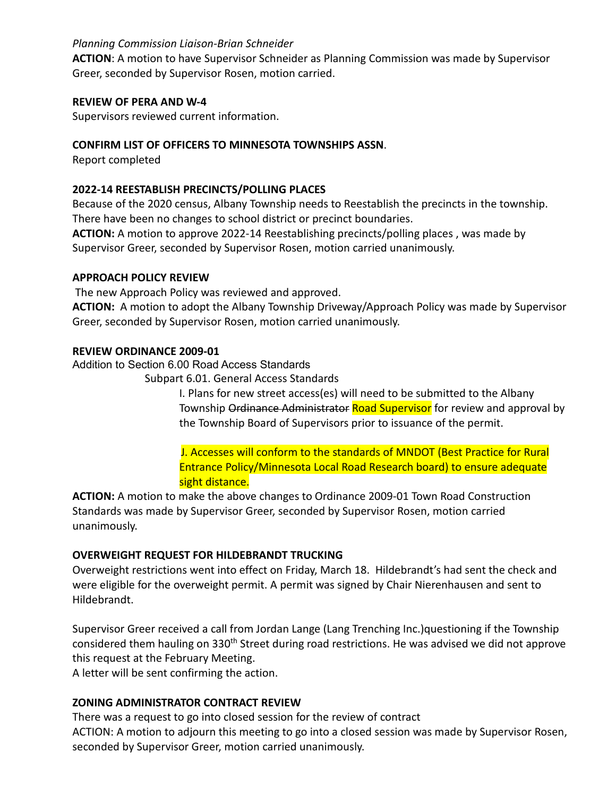## *Planning Commission Liaison-Brian Schneider*

**ACTION**: A motion to have Supervisor Schneider as Planning Commission was made by Supervisor Greer, seconded by Supervisor Rosen, motion carried.

### **REVIEW OF PERA AND W-4**

Supervisors reviewed current information.

# **CONFIRM LIST OF OFFICERS TO MINNESOTA TOWNSHIPS ASSN**.

Report completed

# **2022-14 REESTABLISH PRECINCTS/POLLING PLACES**

Because of the 2020 census, Albany Township needs to Reestablish the precincts in the township. There have been no changes to school district or precinct boundaries.

**ACTION:** A motion to approve 2022-14 Reestablishing precincts/polling places , was made by Supervisor Greer, seconded by Supervisor Rosen, motion carried unanimously.

#### **APPROACH POLICY REVIEW**

The new Approach Policy was reviewed and approved.

**ACTION:** A motion to adopt the Albany Township Driveway/Approach Policy was made by Supervisor Greer, seconded by Supervisor Rosen, motion carried unanimously.

#### **REVIEW ORDINANCE 2009-01**

Addition to Section 6.00 Road Access Standards

Subpart 6.01. General Access Standards

I. Plans for new street access(es) will need to be submitted to the Albany Township Ordinance Administrator Road Supervisor for review and approval by the Township Board of Supervisors prior to issuance of the permit.

J. Accesses will conform to the standards of MNDOT (Best Practice for Rural Entrance Policy/Minnesota Local Road Research board) to ensure adequate sight distance.

**ACTION:** A motion to make the above changes to Ordinance 2009-01 Town Road Construction Standards was made by Supervisor Greer, seconded by Supervisor Rosen, motion carried unanimously.

# **OVERWEIGHT REQUEST FOR HILDEBRANDT TRUCKING**

Overweight restrictions went into effect on Friday, March 18. Hildebrandt's had sent the check and were eligible for the overweight permit. A permit was signed by Chair Nierenhausen and sent to Hildebrandt.

Supervisor Greer received a call from Jordan Lange (Lang Trenching Inc.)questioning if the Township considered them hauling on 330<sup>th</sup> Street during road restrictions. He was advised we did not approve this request at the February Meeting.

A letter will be sent confirming the action.

# **ZONING ADMINISTRATOR CONTRACT REVIEW**

There was a request to go into closed session for the review of contract ACTION: A motion to adjourn this meeting to go into a closed session was made by Supervisor Rosen, seconded by Supervisor Greer, motion carried unanimously.